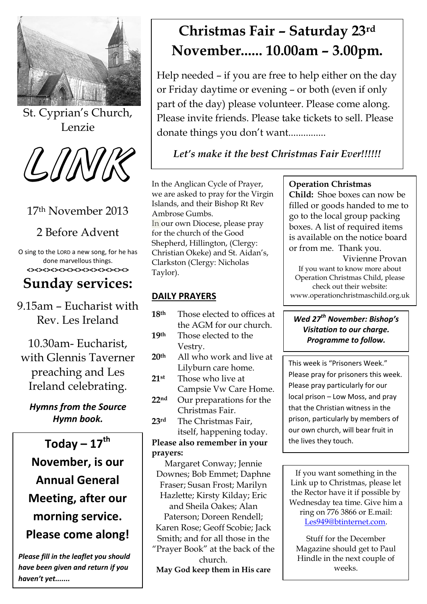

St. Cyprian's Church, Lenzie



## 17th November 2013

## 2 Before Advent

O sing to the LORD a new song, for he has done marvellous things. **<><><><><><><><><><><><><>**

## **Sunday services:**

9.15am – Eucharist with Rev. Les Ireland

10.30am- Eucharist, with Glennis Taverner preaching and Les Ireland celebrating.

*Hymns from the Source Hymn book.*

**Today – 17th November, is our Annual General Meeting, after our morning service. Please come along!**

*Please fill in the leaflet you should have been given and return if you haven't yet.......*

# **Christmas Fair – Saturday 23rd November...... 10.00am – 3.00pm.**

Help needed – if you are free to help either on the day or Friday daytime or evening – or both (even if only part of the day) please volunteer. Please come along. Please invite friends. Please take tickets to sell. Please donate things you don't want...............

### *Let's make it the best Christmas Fair Ever!!!!!!*

In the Anglican Cycle of Prayer, we are asked to pray for the Virgin Islands, and their Bishop Rt Rev Ambrose Gumbs. In our own Diocese, please pray for the church of the Good Shepherd, Hillington, (Clergy: Christian Okeke) and St. Aidan's, Clarkston (Clergy: Nicholas Taylor).

#### **DAILY PRAYERS**

**18th** Those elected to offices at the AGM for our church. **19th** Those elected to the Vestry. **20th** All who work and live at Lilyburn care home. **21st** Those who live at Campsie Vw Care Home. **22nd** Our preparations for the Christmas Fair. **23rd** The Christmas Fair, itself, happening today. **Please also remember in your prayers:** Margaret Conway; Jennie Downes; Bob Emmet; Daphne

Fraser; Susan Frost; Marilyn Hazlette; Kirsty Kilday; Eric and Sheila Oakes; Alan Paterson; Doreen Rendell; Karen Rose; Geoff Scobie; Jack Smith; and for all those in the "Prayer Book" at the back of the church.

**May God keep them in His care**

#### **Operation Christmas**

**Child:** Shoe boxes can now be filled or goods handed to me to go to the local group packing boxes. A list of required items is available on the notice board or from me. Thank you.

Vivienne Provan If you want to know more about Operation Christmas Child, please check out their website: www.operationchristmaschild.org.uk

#### *Wed 27th November: Bishop's Visitation to our charge. Programme to follow.*

This week is "Prisoners Week." Please pray for prisoners this week. Please pray particularly for our local prison – Low Moss, and pray that the Christian witness in the prison, particularly by members of our own church, will bear fruit in the lives they touch.

If you want something in the Link up to Christmas, please let the Rector have it if possible by Wednesday tea time. Give him a ring on 776 3866 or E.mail: [Les949@btinternet.com.](mailto:Les949@btinternet.com)

Stuff for the December Magazine should get to Paul Hindle in the next couple of weeks.